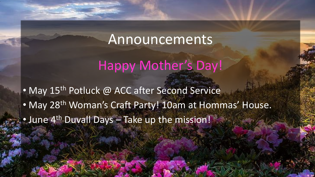# Announcements

# Happy Mother's Day!

• May 15<sup>th</sup> Potluck @ ACC after Second Service • May 28<sup>th</sup> Woman's Craft Party! 10am at Hommas' House. • June 4<sup>th</sup> Duvall Days – Take up the mission!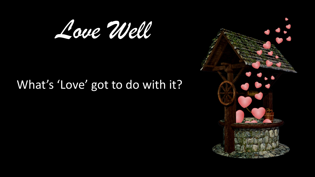

# What's 'Love' got to do with it?

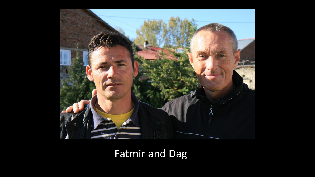

# Fatmir and Dag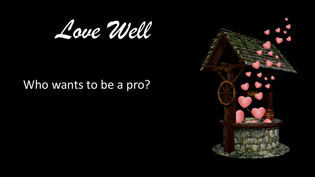

# Who wants to be a pro?

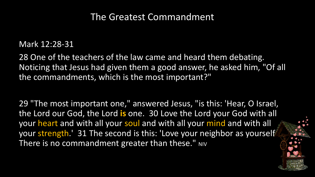### The Greatest Commandment

### Mark 12:28-31

28 One of the teachers of the law came and heard them debating. Noticing that Jesus had given them a good answer, he asked him, "Of all the commandments, which is the most important?"

29 "The most important one," answered Jesus, "is this: 'Hear, O Israel, the Lord our God, the Lord **is** one. 30 Love the Lord your God with all your heart and with all your soul and with all your mind and with all your strength.' 31 The second is this: 'Love your neighbor as yourself' There is no commandment greater than these." NIV

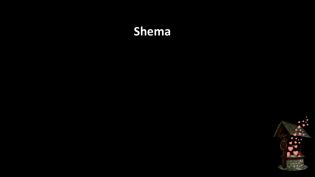# **Shema**

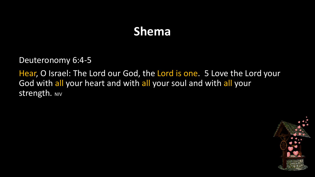# **Shema**

Deuteronomy 6:4-5

Hear, O Israel: The Lord our God, the Lord is one. 5 Love the Lord your God with all your heart and with all your soul and with all your Strength. NIV

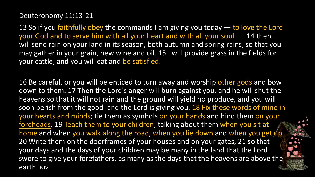#### Deuteronomy 11:13-21

13 So if you faithfully obey the commands I am giving you today — to love the Lord your God and to serve him with all your heart and with all your soul — 14 then I will send rain on your land in its season, both autumn and spring rains, so that you may gather in your grain, new wine and oil. 15 I will provide grass in the fields for your cattle, and you will eat and be satisfied.

16 Be careful, or you will be enticed to turn away and worship other gods and bow down to them. 17 Then the Lord's anger will burn against you, and he will shut the heavens so that it will not rain and the ground will yield no produce, and you will soon perish from the good land the Lord is giving you. 18 Fix these words of mine in your hearts and minds; tie them as symbols on your hands and bind them on your foreheads. 19 Teach them to your children, talking about them when you sit at home and when you walk along the road, when you lie down and when you get up. 20 Write them on the doorframes of your houses and on your gates, 21 so that your days and the days of your children may be many in the land that the Lord swore to give your forefathers, as many as the days that the heavens are above the earth. NIV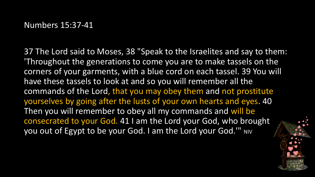37 The Lord said to Moses, 38 "Speak to the Israelites and say to them: 'Throughout the generations to come you are to make tassels on the corners of your garments, with a blue cord on each tassel. 39 You will have these tassels to look at and so you will remember all the commands of the Lord, that you may obey them and not prostitute yourselves by going after the lusts of your own hearts and eyes. 40 Then you will remember to obey all my commands and will be consecrated to your God. 41 I am the Lord your God, who brought you out of Egypt to be your God. I am the Lord your God." NIV

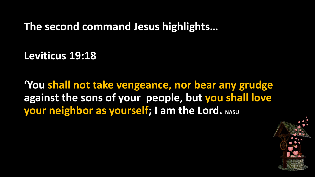**The second command Jesus highlights…**

**Leviticus 19:18**

**'You shall not take vengeance, nor bear any grudge against the sons of your people, but you shall love your neighbor as yourself; I am the Lord.** NASU

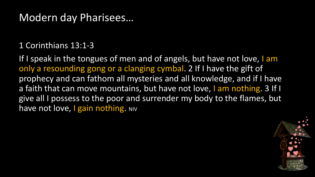## Modern day Pharisees…

### 1 Corinthians 13:1-3

If I speak in the tongues of men and of angels, but have not love, I am only a resounding gong or a clanging cymbal. 2 If I have the gift of prophecy and can fathom all mysteries and all knowledge, and if I have a faith that can move mountains, but have not love, I am nothing. 3 If I give all I possess to the poor and surrender my body to the flames, but have not love, I gain nothing. NIV